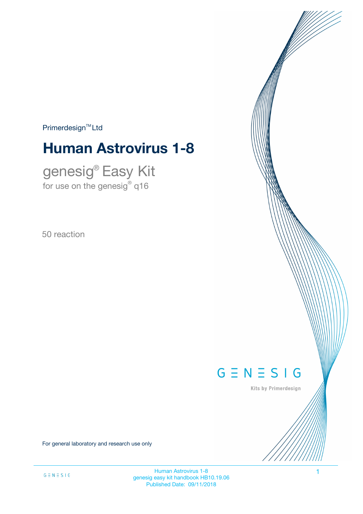$Primerdesign<sup>™</sup>Ltd$ 

# **Human Astrovirus 1-8**

genesig® Easy Kit for use on the genesig $^\circ$  q16

50 reaction



Kits by Primerdesign

For general laboratory and research use only

Human Astrovirus 1-8 1 genesig easy kit handbook HB10.19.06 Published Date: 09/11/2018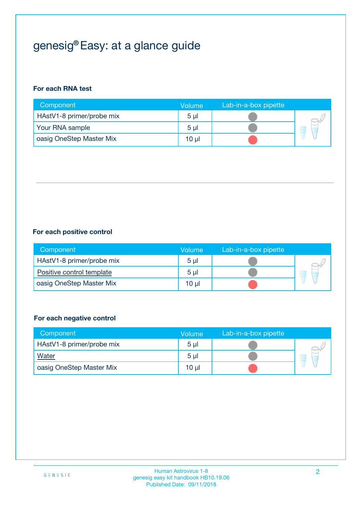# genesig® Easy: at a glance guide

#### **For each RNA test**

| Component                 | <b>Volume</b>  | Lab-in-a-box pipette |  |
|---------------------------|----------------|----------------------|--|
| HAstV1-8 primer/probe mix | 5 <sub>µ</sub> |                      |  |
| Your RNA sample           | 5 <sub>µ</sub> |                      |  |
| oasig OneStep Master Mix  | 10 µl          |                      |  |

#### **For each positive control**

| Component                 | Volume         | Lab-in-a-box pipette |  |
|---------------------------|----------------|----------------------|--|
| HAstV1-8 primer/probe mix | 5 <sub>µ</sub> |                      |  |
| Positive control template | 5 <sub>µ</sub> |                      |  |
| oasig OneStep Master Mix  | 10 µl          |                      |  |

#### **For each negative control**

| Component                 | <b>Volume</b>  | Lab-in-a-box pipette |   |
|---------------------------|----------------|----------------------|---|
| HAstV1-8 primer/probe mix | 5 <sub>µ</sub> |                      |   |
| <b>Water</b>              | 5 <sub>µ</sub> |                      | E |
| oasig OneStep Master Mix  | $10 \mu$       |                      |   |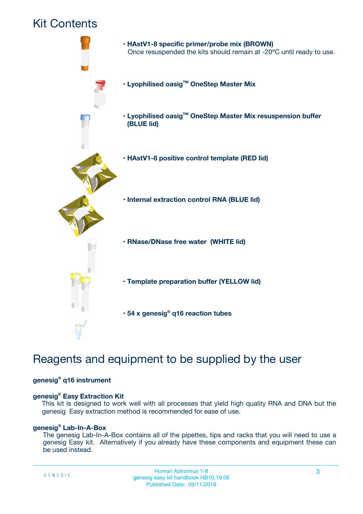## Kit Contents



## Reagents and equipment to be supplied by the user

#### **genesig® q16 instrument**

#### **genesig® Easy Extraction Kit**

This kit is designed to work well with all processes that yield high quality RNA and DNA but the genesig Easy extraction method is recommended for ease of use.

#### **genesig® Lab-In-A-Box**

The genesig Lab-In-A-Box contains all of the pipettes, tips and racks that you will need to use a genesig Easy kit. Alternatively if you already have these components and equipment these can be used instead.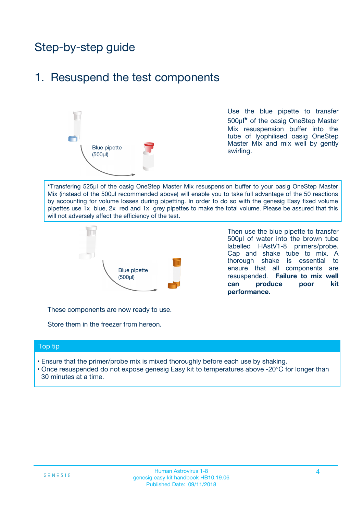## Step-by-step guide

### 1. Resuspend the test components



Use the blue pipette to transfer 500µ**l\*** of the oasig OneStep Master Mix resuspension buffer into the tube of lyophilised oasig OneStep Master Mix and mix well by gently swirling.

**\***Transfering 525µl of the oasig OneStep Master Mix resuspension buffer to your oasig OneStep Master Mix (instead of the 500µl recommended above) will enable you to take full advantage of the 50 reactions by accounting for volume losses during pipetting. In order to do so with the genesig Easy fixed volume pipettes use 1x blue, 2x red and 1x grey pipettes to make the total volume. Please be assured that this will not adversely affect the efficiency of the test.



Then use the blue pipette to transfer 500µl of water into the brown tube labelled HAstV1-8 primers/probe. Cap and shake tube to mix. A thorough shake is essential to ensure that all components are resuspended. **Failure to mix well can produce poor kit performance.**

These components are now ready to use.

Store them in the freezer from hereon.

#### Top tip

- Ensure that the primer/probe mix is mixed thoroughly before each use by shaking.
- Once resuspended do not expose genesig Easy kit to temperatures above -20°C for longer than 30 minutes at a time.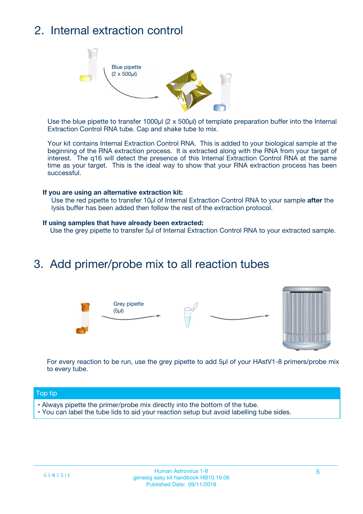## 2. Internal extraction control



Use the blue pipette to transfer 1000µl (2 x 500µl) of template preparation buffer into the Internal Extraction Control RNA tube. Cap and shake tube to mix.

Your kit contains Internal Extraction Control RNA. This is added to your biological sample at the beginning of the RNA extraction process. It is extracted along with the RNA from your target of interest. The q16 will detect the presence of this Internal Extraction Control RNA at the same time as your target. This is the ideal way to show that your RNA extraction process has been successful.

#### **If you are using an alternative extraction kit:**

Use the red pipette to transfer 10µl of Internal Extraction Control RNA to your sample **after** the lysis buffer has been added then follow the rest of the extraction protocol.

#### **If using samples that have already been extracted:**

Use the grey pipette to transfer 5µl of Internal Extraction Control RNA to your extracted sample.

### 3. Add primer/probe mix to all reaction tubes





For every reaction to be run, use the grey pipette to add 5µl of your HAstV1-8 primers/probe mix to every tube.

#### Top tip

- Always pipette the primer/probe mix directly into the bottom of the tube.
- You can label the tube lids to aid your reaction setup but avoid labelling tube sides.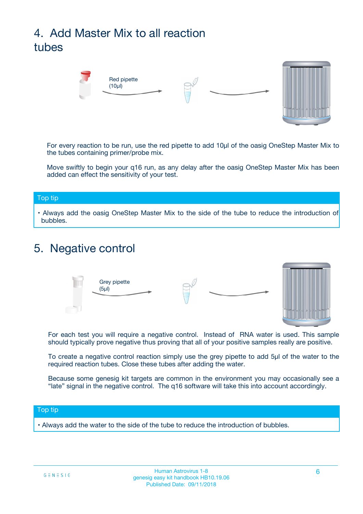# 4. Add Master Mix to all reaction tubes



For every reaction to be run, use the red pipette to add 10µl of the oasig OneStep Master Mix to the tubes containing primer/probe mix.

Move swiftly to begin your q16 run, as any delay after the oasig OneStep Master Mix has been added can effect the sensitivity of your test.

#### Top tip

**•** Always add the oasig OneStep Master Mix to the side of the tube to reduce the introduction of bubbles.

### 5. Negative control



For each test you will require a negative control. Instead of RNA water is used. This sample should typically prove negative thus proving that all of your positive samples really are positive.

To create a negative control reaction simply use the grey pipette to add 5µl of the water to the required reaction tubes. Close these tubes after adding the water.

Because some genesig kit targets are common in the environment you may occasionally see a "late" signal in the negative control. The q16 software will take this into account accordingly.

#### Top tip

**•** Always add the water to the side of the tube to reduce the introduction of bubbles.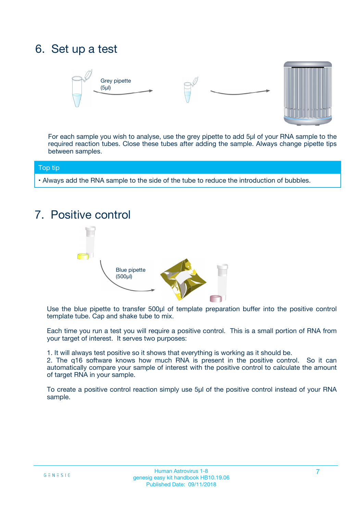## 6. Set up a test





For each sample you wish to analyse, use the grey pipette to add 5µl of your RNA sample to the required reaction tubes. Close these tubes after adding the sample. Always change pipette tips between samples.

#### Top tip

**•** Always add the RNA sample to the side of the tube to reduce the introduction of bubbles.

## 7. Positive control



Use the blue pipette to transfer 500µl of template preparation buffer into the positive control template tube. Cap and shake tube to mix.

Each time you run a test you will require a positive control. This is a small portion of RNA from your target of interest. It serves two purposes:

1. It will always test positive so it shows that everything is working as it should be.

2. The q16 software knows how much RNA is present in the positive control. So it can automatically compare your sample of interest with the positive control to calculate the amount of target RNA in your sample.

To create a positive control reaction simply use 5µl of the positive control instead of your RNA sample.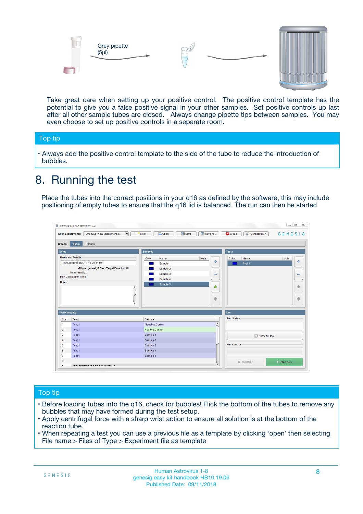



Take great care when setting up your positive control. The positive control template has the potential to give you a false positive signal in your other samples. Set positive controls up last after all other sample tubes are closed. Always change pipette tips between samples. You may even choose to set up positive controls in a separate room.

#### Top tip

**•** Always add the positive control template to the side of the tube to reduce the introduction of bubbles.

## 8. Running the test

Place the tubes into the correct positions in your q16 as defined by the software, this may include positioning of empty tubes to ensure that the q16 lid is balanced. The run can then be started.

|                         | genesig q16 PCR software - 1.2<br><b>Open Experiments:</b><br>Unsaved (New Experiment 2<br>$\blacktriangledown$                                                                                      | <b>E</b> Open<br>Save<br>$\sqrt{2}$ New                                   | $\Box$<br>Save As<br>$G \equiv N \equiv S \mid G$<br><b>B</b> Close<br><b>X</b> Configuration                    |
|-------------------------|------------------------------------------------------------------------------------------------------------------------------------------------------------------------------------------------------|---------------------------------------------------------------------------|------------------------------------------------------------------------------------------------------------------|
| Stages:<br><b>Notes</b> | Setup<br><b>Results</b>                                                                                                                                                                              | <b>Samples</b>                                                            |                                                                                                                  |
| <b>Notes</b>            | <b>Name and Details</b><br>New Experiment 2017-10-26 11:06<br>Kit type: genesig® Easy Target Detection kit<br>Instrument Id.:<br>Run Completion Time:<br>$\blacktriangle$<br>$\overline{\mathbf{v}}$ | Color<br>Name<br>Sample 1<br>Sample 2<br>Sample 3<br>Sample 4<br>Sample 5 | <b>Tests</b><br>Note<br>Color<br>Note<br>Name<br>على<br>4<br>Test 1<br>$\equiv$<br>$\equiv$<br>一个<br>借<br>÷<br>⊕ |
| <b>Well Contents</b>    |                                                                                                                                                                                                      |                                                                           | Run                                                                                                              |
| Pos.                    | Test                                                                                                                                                                                                 | Sample                                                                    | <b>Run Status</b>                                                                                                |
| $\blacktriangleleft$    | Test 1                                                                                                                                                                                               | Negative Control                                                          | $\blacktriangle$                                                                                                 |
| $\overline{2}$          | Test 1                                                                                                                                                                                               | Positive Control                                                          |                                                                                                                  |
| 3                       | Test 1                                                                                                                                                                                               | Sample 1                                                                  | Show full log                                                                                                    |
| $\overline{4}$          | Test 1                                                                                                                                                                                               | Sample 2                                                                  |                                                                                                                  |
| 5                       | Test 1                                                                                                                                                                                               | Sample 3                                                                  | <b>Run Control</b>                                                                                               |
| 6                       | Test <sub>1</sub>                                                                                                                                                                                    | Sample 4                                                                  |                                                                                                                  |
| $\overline{7}$          | Test 1                                                                                                                                                                                               | Sample 5                                                                  |                                                                                                                  |
| 8                       |                                                                                                                                                                                                      |                                                                           | $\triangleright$ Start Run<br>■ Abort Run                                                                        |
|                         |                                                                                                                                                                                                      |                                                                           | $\overline{\mathbf{v}}$                                                                                          |

#### Top tip

- Before loading tubes into the q16, check for bubbles! Flick the bottom of the tubes to remove any bubbles that may have formed during the test setup.
- Apply centrifugal force with a sharp wrist action to ensure all solution is at the bottom of the reaction tube.
- When repeating a test you can use a previous file as a template by clicking 'open' then selecting File name > Files of Type > Experiment file as template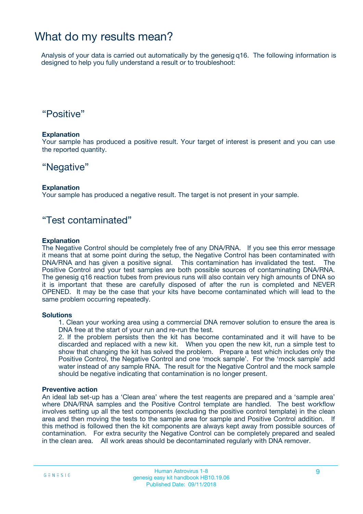### What do my results mean?

Analysis of your data is carried out automatically by the genesig q16. The following information is designed to help you fully understand a result or to troubleshoot:

### "Positive"

#### **Explanation**

Your sample has produced a positive result. Your target of interest is present and you can use the reported quantity.

### "Negative"

#### **Explanation**

Your sample has produced a negative result. The target is not present in your sample.

### "Test contaminated"

#### **Explanation**

The Negative Control should be completely free of any DNA/RNA. If you see this error message it means that at some point during the setup, the Negative Control has been contaminated with DNA/RNA and has given a positive signal. This contamination has invalidated the test. The Positive Control and your test samples are both possible sources of contaminating DNA/RNA. The genesig q16 reaction tubes from previous runs will also contain very high amounts of DNA so it is important that these are carefully disposed of after the run is completed and NEVER OPENED. It may be the case that your kits have become contaminated which will lead to the same problem occurring repeatedly.

#### **Solutions**

1. Clean your working area using a commercial DNA remover solution to ensure the area is DNA free at the start of your run and re-run the test.

2. If the problem persists then the kit has become contaminated and it will have to be discarded and replaced with a new kit. When you open the new kit, run a simple test to show that changing the kit has solved the problem. Prepare a test which includes only the Positive Control, the Negative Control and one 'mock sample'. For the 'mock sample' add water instead of any sample RNA. The result for the Negative Control and the mock sample should be negative indicating that contamination is no longer present.

#### **Preventive action**

An ideal lab set-up has a 'Clean area' where the test reagents are prepared and a 'sample area' where DNA/RNA samples and the Positive Control template are handled. The best workflow involves setting up all the test components (excluding the positive control template) in the clean area and then moving the tests to the sample area for sample and Positive Control addition. If this method is followed then the kit components are always kept away from possible sources of contamination. For extra security the Negative Control can be completely prepared and sealed in the clean area. All work areas should be decontaminated regularly with DNA remover.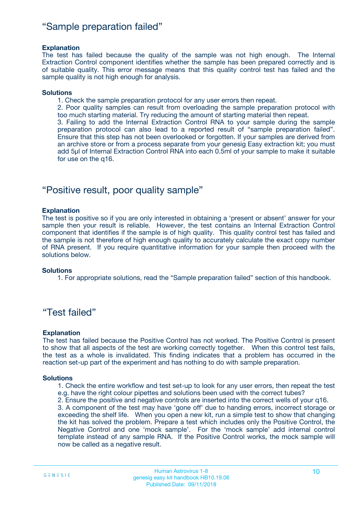### "Sample preparation failed"

#### **Explanation**

The test has failed because the quality of the sample was not high enough. The Internal Extraction Control component identifies whether the sample has been prepared correctly and is of suitable quality. This error message means that this quality control test has failed and the sample quality is not high enough for analysis.

#### **Solutions**

1. Check the sample preparation protocol for any user errors then repeat.

2. Poor quality samples can result from overloading the sample preparation protocol with too much starting material. Try reducing the amount of starting material then repeat.

3. Failing to add the Internal Extraction Control RNA to your sample during the sample preparation protocol can also lead to a reported result of "sample preparation failed". Ensure that this step has not been overlooked or forgotten. If your samples are derived from an archive store or from a process separate from your genesig Easy extraction kit; you must add 5µl of Internal Extraction Control RNA into each 0.5ml of your sample to make it suitable for use on the q16.

### "Positive result, poor quality sample"

#### **Explanation**

The test is positive so if you are only interested in obtaining a 'present or absent' answer for your sample then your result is reliable. However, the test contains an Internal Extraction Control component that identifies if the sample is of high quality. This quality control test has failed and the sample is not therefore of high enough quality to accurately calculate the exact copy number of RNA present. If you require quantitative information for your sample then proceed with the solutions below.

#### **Solutions**

1. For appropriate solutions, read the "Sample preparation failed" section of this handbook.

### "Test failed"

#### **Explanation**

The test has failed because the Positive Control has not worked. The Positive Control is present to show that all aspects of the test are working correctly together. When this control test fails, the test as a whole is invalidated. This finding indicates that a problem has occurred in the reaction set-up part of the experiment and has nothing to do with sample preparation.

#### **Solutions**

1. Check the entire workflow and test set-up to look for any user errors, then repeat the test e.g. have the right colour pipettes and solutions been used with the correct tubes?

2. Ensure the positive and negative controls are inserted into the correct wells of your q16. 3. A component of the test may have 'gone off' due to handing errors, incorrect storage or

exceeding the shelf life. When you open a new kit, run a simple test to show that changing the kit has solved the problem. Prepare a test which includes only the Positive Control, the Negative Control and one 'mock sample'. For the 'mock sample' add internal control template instead of any sample RNA. If the Positive Control works, the mock sample will now be called as a negative result.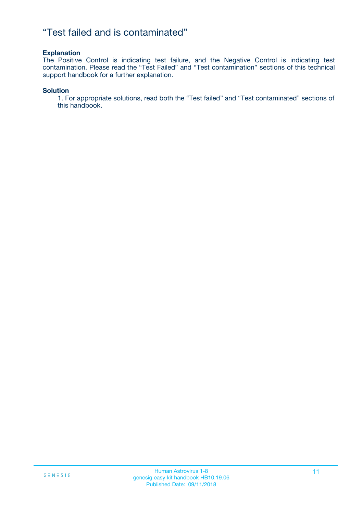### "Test failed and is contaminated"

#### **Explanation**

The Positive Control is indicating test failure, and the Negative Control is indicating test contamination. Please read the "Test Failed" and "Test contamination" sections of this technical support handbook for a further explanation.

#### **Solution**

1. For appropriate solutions, read both the "Test failed" and "Test contaminated" sections of this handbook.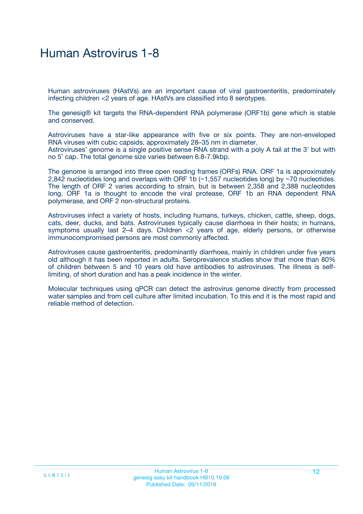## Human Astrovirus 1-8

Human astroviruses (HAstVs) are an important cause of viral gastroenteritis, predominately infecting children <2 years of age. HAstVs are classified into 8 serotypes.

The genesig® kit targets the RNA-dependent RNA polymerase (ORF1b) gene which is stable and conserved.

Astroviruses have a star-like appearance with five or six points. They are non-enveloped RNA viruses with cubic capsids, approximately 28–35 nm in diameter. Astroviruses' genome is a single positive sense RNA strand with a poly A tail at the 3' but with no 5' cap. The total genome size varies between 6.8-7.9kbp.

The genome is arranged into three open reading frames (ORFs) RNA. ORF 1a is approximately 2,842 nucleotides long and overlaps with ORF 1b (~1,557 nucleotides long) by ~70 nucleotides. The length of ORF 2 varies according to strain, but is between 2,358 and 2,388 nucleotides long. ORF 1a is thought to encode the viral protease, ORF 1b an RNA dependent RNA polymerase, and ORF 2 non-structural proteins.

Astroviruses infect a variety of hosts, including humans, turkeys, chicken, cattle, sheep, dogs, cats, deer, ducks, and bats. Astroviruses typically cause diarrhoea in their hosts; in humans, symptoms usually last 2–4 days. Children <2 years of age, elderly persons, or otherwise immunocompromised persons are most commonly affected.

Astroviruses cause gastroenteritis, predominantly diarrhoea, mainly in children under five years old although it has been reported in adults. Seroprevalence studies show that more than 80% of children between 5 and 10 years old have antibodies to astroviruses. The illness is selflimiting, of short duration and has a peak incidence in the winter.

Molecular techniques using qPCR can detect the astrovirus genome directly from processed water samples and from cell culture after limited incubation. To this end it is the most rapid and reliable method of detection.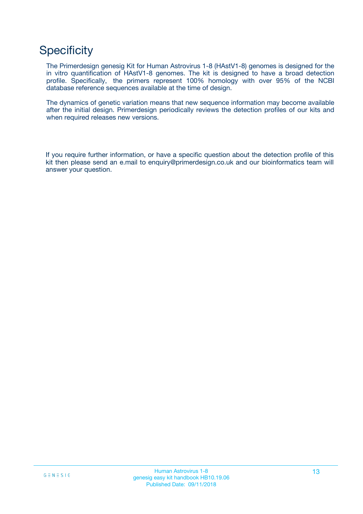## **Specificity**

The Primerdesign genesig Kit for Human Astrovirus 1-8 (HAstV1-8) genomes is designed for the in vitro quantification of HAstV1-8 genomes. The kit is designed to have a broad detection profile. Specifically, the primers represent 100% homology with over 95% of the NCBI database reference sequences available at the time of design.

The dynamics of genetic variation means that new sequence information may become available after the initial design. Primerdesign periodically reviews the detection profiles of our kits and when required releases new versions.

If you require further information, or have a specific question about the detection profile of this kit then please send an e.mail to enquiry@primerdesign.co.uk and our bioinformatics team will answer your question.